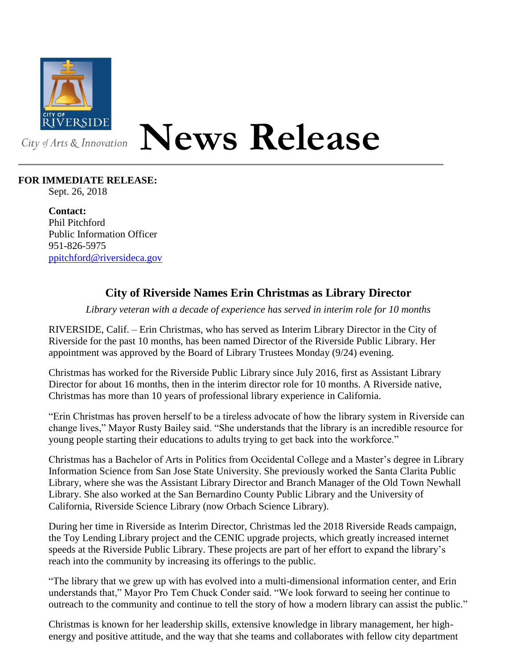

## **News Release**

## **FOR IMMEDIATE RELEASE:**

Sept. 26, 2018

**Contact:** Phil Pitchford Public Information Officer 951-826-5975 [ppitchford@riversideca.gov](mailto:ppitchford@riversideca.gov)

## **City of Riverside Names Erin Christmas as Library Director**

*Library veteran with a decade of experience has served in interim role for 10 months*

RIVERSIDE, Calif. – Erin Christmas, who has served as Interim Library Director in the City of Riverside for the past 10 months, has been named Director of the Riverside Public Library. Her appointment was approved by the Board of Library Trustees Monday (9/24) evening.

Christmas has worked for the Riverside Public Library since July 2016, first as Assistant Library Director for about 16 months, then in the interim director role for 10 months. A Riverside native, Christmas has more than 10 years of professional library experience in California.

"Erin Christmas has proven herself to be a tireless advocate of how the library system in Riverside can change lives," Mayor Rusty Bailey said. "She understands that the library is an incredible resource for young people starting their educations to adults trying to get back into the workforce."

Christmas has a Bachelor of Arts in Politics from Occidental College and a Master's degree in Library Information Science from San Jose State University. She previously worked the Santa Clarita Public Library, where she was the Assistant Library Director and Branch Manager of the Old Town Newhall Library. She also worked at the San Bernardino County Public Library and the University of California, Riverside Science Library (now Orbach Science Library).

During her time in Riverside as Interim Director, Christmas led the 2018 Riverside Reads campaign, the Toy Lending Library project and the CENIC upgrade projects, which greatly increased internet speeds at the Riverside Public Library. These projects are part of her effort to expand the library's reach into the community by increasing its offerings to the public.

"The library that we grew up with has evolved into a multi-dimensional information center, and Erin understands that," Mayor Pro Tem Chuck Conder said. "We look forward to seeing her continue to outreach to the community and continue to tell the story of how a modern library can assist the public."

Christmas is known for her leadership skills, extensive knowledge in library management, her highenergy and positive attitude, and the way that she teams and collaborates with fellow city department